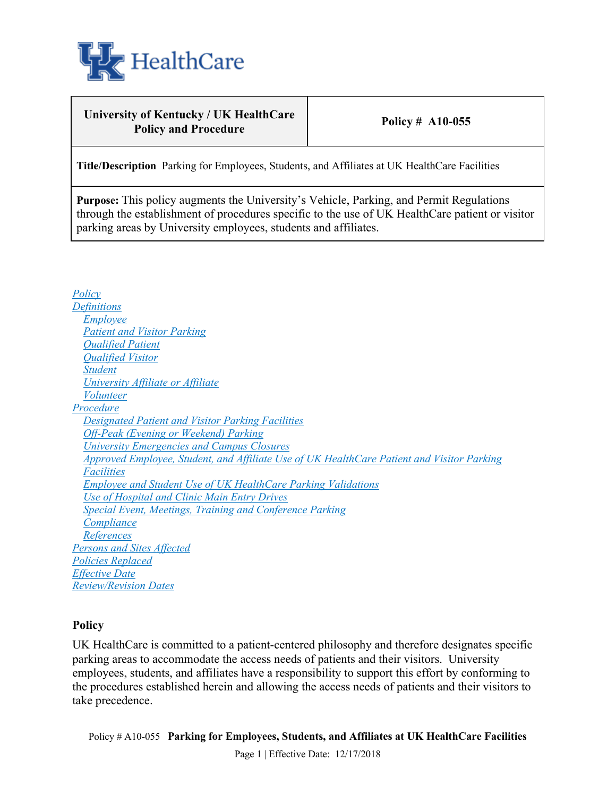

### **University of Kentucky / UK HealthCare Policy and Procedure Policy # A10-055**

**Title/Description** Parking for Employees, Students, and Affiliates at UK HealthCare Facilities

**Purpose:** This policy augments the University's Vehicle, Parking, and Permit Regulations through the establishment of procedures specific to the use of UK HealthCare patient or visitor parking areas by University employees, students and affiliates.

*Policy Definitions Employee Patient and Visitor Parking Qualified Patient Qualified Visitor Student University Affiliate or Affiliate Volunteer Procedure Designated Patient and Visitor Parking Facilities Off-Peak (Evening or Weekend) Parking University Emergencies and Campus Closures Approved Employee, Student, and Affiliate Use of UK HealthCare Patient and Visitor Parking Facilities Employee and Student Use of UK HealthCare Parking Validations Use of Hospital and Clinic Main Entry Drives Special Event, Meetings, Training and Conference Parking Compliance References Persons and Sites Affected Policies Replaced Effective Date Review/Revision Dates*

#### **Policy**

UK HealthCare is committed to a patient-centered philosophy and therefore designates specific parking areas to accommodate the access needs of patients and their visitors. University employees, students, and affiliates have a responsibility to support this effort by conforming to the procedures established herein and allowing the access needs of patients and their visitors to take precedence.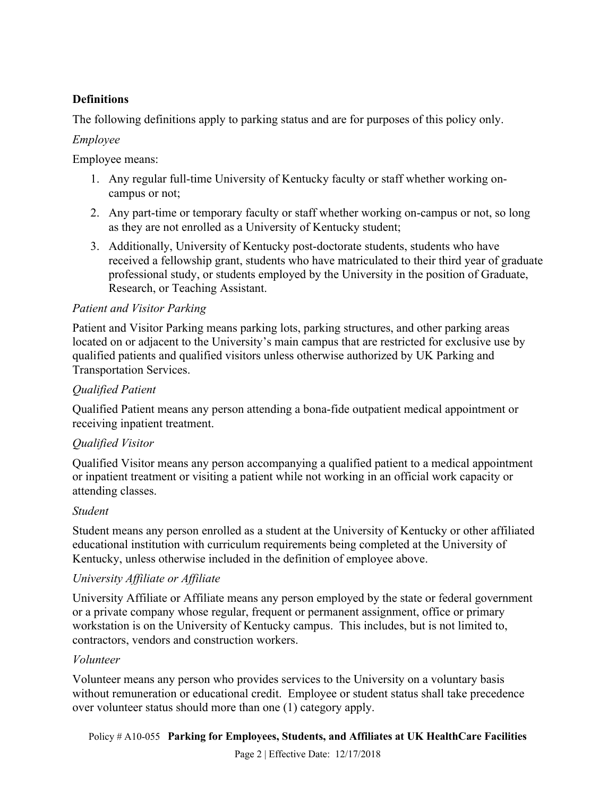### **Definitions**

The following definitions apply to parking status and are for purposes of this policy only.

### *Employee*

Employee means:

- 1. Any regular full-time University of Kentucky faculty or staff whether working oncampus or not;
- 2. Any part-time or temporary faculty or staff whether working on-campus or not, so long as they are not enrolled as a University of Kentucky student;
- 3. Additionally, University of Kentucky post-doctorate students, students who have received a fellowship grant, students who have matriculated to their third year of graduate professional study, or students employed by the University in the position of Graduate, Research, or Teaching Assistant.

### *Patient and Visitor Parking*

Patient and Visitor Parking means parking lots, parking structures, and other parking areas located on or adjacent to the University's main campus that are restricted for exclusive use by qualified patients and qualified visitors unless otherwise authorized by UK Parking and Transportation Services.

# *Qualified Patient*

Qualified Patient means any person attending a bona-fide outpatient medical appointment or receiving inpatient treatment.

# *Qualified Visitor*

Qualified Visitor means any person accompanying a qualified patient to a medical appointment or inpatient treatment or visiting a patient while not working in an official work capacity or attending classes.

#### *Student*

Student means any person enrolled as a student at the University of Kentucky or other affiliated educational institution with curriculum requirements being completed at the University of Kentucky, unless otherwise included in the definition of employee above.

# *University Affiliate or Affiliate*

University Affiliate or Affiliate means any person employed by the state or federal government or a private company whose regular, frequent or permanent assignment, office or primary workstation is on the University of Kentucky campus. This includes, but is not limited to, contractors, vendors and construction workers.

#### *Volunteer*

Volunteer means any person who provides services to the University on a voluntary basis without remuneration or educational credit. Employee or student status shall take precedence over volunteer status should more than one (1) category apply.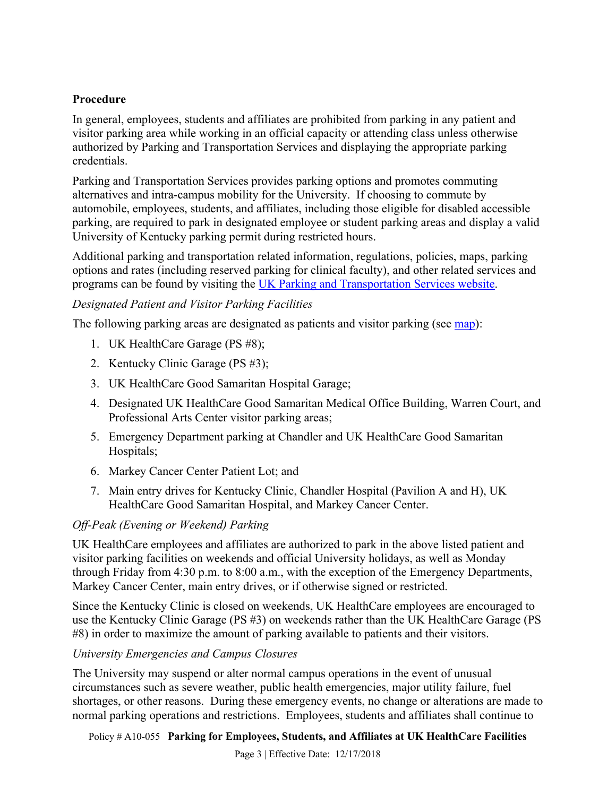### **Procedure**

In general, employees, students and affiliates are prohibited from parking in any patient and visitor parking area while working in an official capacity or attending class unless otherwise authorized by Parking and Transportation Services and displaying the appropriate parking credentials.

Parking and Transportation Services provides parking options and promotes commuting alternatives and intra-campus mobility for the University. If choosing to commute by automobile, employees, students, and affiliates, including those eligible for disabled accessible parking, are required to park in designated employee or student parking areas and display a valid University of Kentucky parking permit during restricted hours.

Additional parking and transportation related information, regulations, policies, maps, parking options and rates (including reserved parking for clinical faculty), and other related services and programs can be found by visiting the UK Parking and Transportation Services website.

### *Designated Patient and Visitor Parking Facilities*

The following parking areas are designated as patients and visitor parking (see map):

- 1. UK HealthCare Garage (PS #8);
- 2. Kentucky Clinic Garage (PS #3);
- 3. UK HealthCare Good Samaritan Hospital Garage;
- 4. Designated UK HealthCare Good Samaritan Medical Office Building, Warren Court, and Professional Arts Center visitor parking areas;
- 5. Emergency Department parking at Chandler and UK HealthCare Good Samaritan Hospitals;
- 6. Markey Cancer Center Patient Lot; and
- 7. Main entry drives for Kentucky Clinic, Chandler Hospital (Pavilion A and H), UK HealthCare Good Samaritan Hospital, and Markey Cancer Center.

#### *Off-Peak (Evening or Weekend) Parking*

UK HealthCare employees and affiliates are authorized to park in the above listed patient and visitor parking facilities on weekends and official University holidays, as well as Monday through Friday from 4:30 p.m. to 8:00 a.m., with the exception of the Emergency Departments, Markey Cancer Center, main entry drives, or if otherwise signed or restricted.

Since the Kentucky Clinic is closed on weekends, UK HealthCare employees are encouraged to use the Kentucky Clinic Garage (PS #3) on weekends rather than the UK HealthCare Garage (PS #8) in order to maximize the amount of parking available to patients and their visitors.

#### *University Emergencies and Campus Closures*

The University may suspend or alter normal campus operations in the event of unusual circumstances such as severe weather, public health emergencies, major utility failure, fuel shortages, or other reasons. During these emergency events, no change or alterations are made to normal parking operations and restrictions. Employees, students and affiliates shall continue to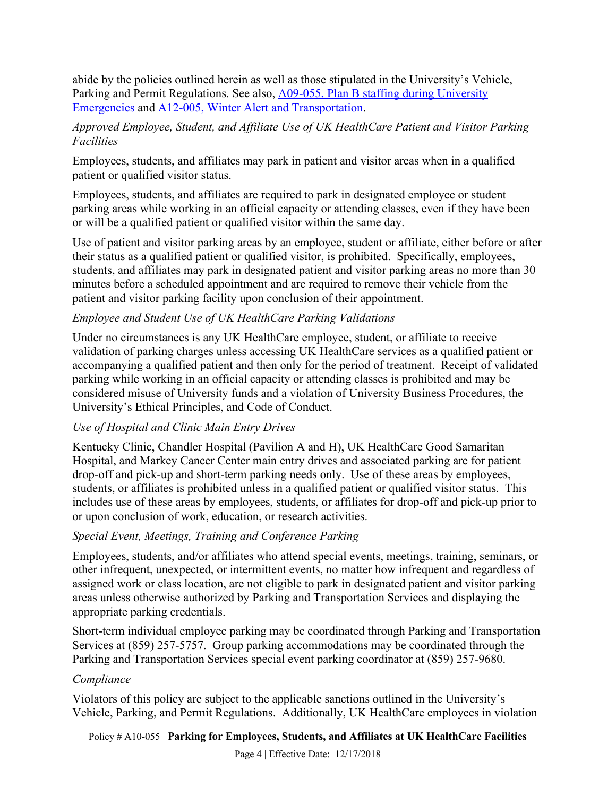abide by the policies outlined herein as well as those stipulated in the University's Vehicle, Parking and Permit Regulations. See also, A09-055, Plan B staffing during University Emergencies and A12-005, Winter Alert and Transportation.

### *Approved Employee, Student, and Affiliate Use of UK HealthCare Patient and Visitor Parking Facilities*

Employees, students, and affiliates may park in patient and visitor areas when in a qualified patient or qualified visitor status.

Employees, students, and affiliates are required to park in designated employee or student parking areas while working in an official capacity or attending classes, even if they have been or will be a qualified patient or qualified visitor within the same day.

Use of patient and visitor parking areas by an employee, student or affiliate, either before or after their status as a qualified patient or qualified visitor, is prohibited. Specifically, employees, students, and affiliates may park in designated patient and visitor parking areas no more than 30 minutes before a scheduled appointment and are required to remove their vehicle from the patient and visitor parking facility upon conclusion of their appointment.

# *Employee and Student Use of UK HealthCare Parking Validations*

Under no circumstances is any UK HealthCare employee, student, or affiliate to receive validation of parking charges unless accessing UK HealthCare services as a qualified patient or accompanying a qualified patient and then only for the period of treatment. Receipt of validated parking while working in an official capacity or attending classes is prohibited and may be considered misuse of University funds and a violation of University Business Procedures, the University's Ethical Principles, and Code of Conduct.

# *Use of Hospital and Clinic Main Entry Drives*

Kentucky Clinic, Chandler Hospital (Pavilion A and H), UK HealthCare Good Samaritan Hospital, and Markey Cancer Center main entry drives and associated parking are for patient drop-off and pick-up and short-term parking needs only. Use of these areas by employees, students, or affiliates is prohibited unless in a qualified patient or qualified visitor status. This includes use of these areas by employees, students, or affiliates for drop-off and pick-up prior to or upon conclusion of work, education, or research activities.

# *Special Event, Meetings, Training and Conference Parking*

Employees, students, and/or affiliates who attend special events, meetings, training, seminars, or other infrequent, unexpected, or intermittent events, no matter how infrequent and regardless of assigned work or class location, are not eligible to park in designated patient and visitor parking areas unless otherwise authorized by Parking and Transportation Services and displaying the appropriate parking credentials.

Short-term individual employee parking may be coordinated through Parking and Transportation Services at (859) 257-5757. Group parking accommodations may be coordinated through the Parking and Transportation Services special event parking coordinator at (859) 257-9680.

#### *Compliance*

Violators of this policy are subject to the applicable sanctions outlined in the University's Vehicle, Parking, and Permit Regulations. Additionally, UK HealthCare employees in violation